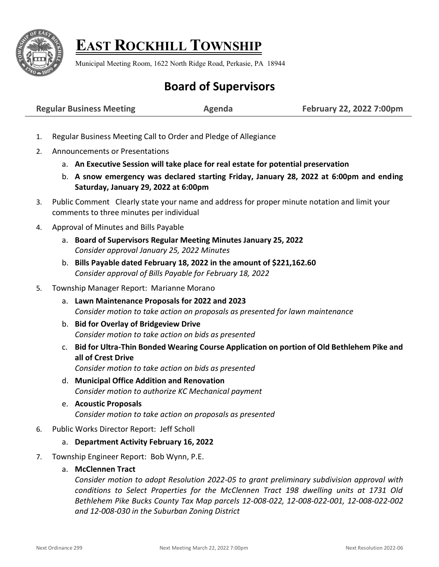

# **EAST ROCKHILL TOWNSHIP**

Municipal Meeting Room, 1622 North Ridge Road, Perkasie, PA 18944

## **Board of Supervisors**

**Regular Business Meeting Agenda February 22, 2022 7:00pm**

- 1. Regular Business Meeting Call to Order and Pledge of Allegiance
- 2. Announcements or Presentations
	- a. **An Executive Session will take place for real estate for potential preservation**
	- b. **A snow emergency was declared starting Friday, January 28, 2022 at 6:00pm and ending Saturday, January 29, 2022 at 6:00pm**
- 3. Public Comment Clearly state your name and address for proper minute notation and limit your comments to three minutes per individual
- 4. Approval of Minutes and Bills Payable
	- a. **Board of Supervisors Regular Meeting Minutes January 25, 2022** *Consider approval January 25, 2022 Minutes*
	- b. **Bills Payable dated February 18, 2022 in the amount of \$221,162.60** *Consider approval of Bills Payable for February 18, 2022*

#### 5. Township Manager Report: Marianne Morano

- a. **Lawn Maintenance Proposals for 2022 and 2023** *Consider motion to take action on proposals as presented for lawn maintenance*
- b. **Bid for Overlay of Bridgeview Drive** *Consider motion to take action on bids as presented*
- c. **Bid for Ultra-Thin Bonded Wearing Course Application on portion of Old Bethlehem Pike and all of Crest Drive**

*Consider motion to take action on bids as presented*

- d. **Municipal Office Addition and Renovation** *Consider motion to authorize KC Mechanical payment*
- e. **Acoustic Proposals**  *Consider motion to take action on proposals as presented*
- 6. Public Works Director Report: Jeff Scholl

#### a. **Department Activity February 16, 2022**

- 7. Township Engineer Report: Bob Wynn, P.E.
	- a. **McClennen Tract**

*Consider motion to adopt Resolution 2022-05 to grant preliminary subdivision approval with conditions to Select Properties for the McClennen Tract 198 dwelling units at 1731 Old Bethlehem Pike Bucks County Tax Map parcels 12-008-022, 12-008-022-001, 12-008-022-002 and 12-008-030 in the Suburban Zoning District*